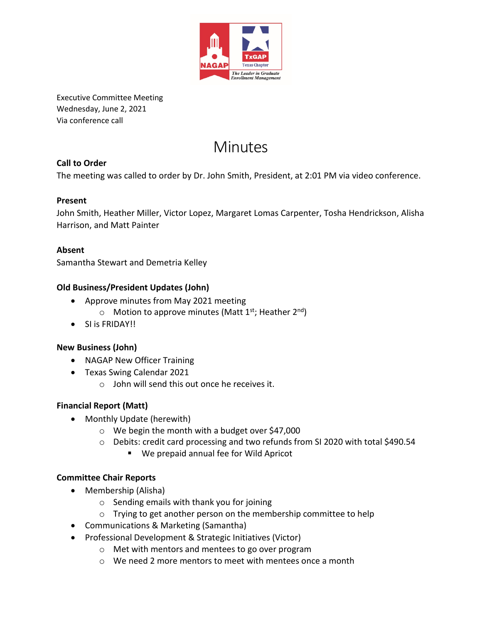

Executive Committee Meeting Wednesday, June 2, 2021 Via conference call

# **Minutes**

#### **Call to Order**

The meeting was called to order by Dr. John Smith, President, at 2:01 PM via video conference.

#### **Present**

John Smith, Heather Miller, Victor Lopez, Margaret Lomas Carpenter, Tosha Hendrickson, Alisha Harrison, and Matt Painter

#### **Absent**

Samantha Stewart and Demetria Kelley

#### **Old Business/President Updates (John)**

- Approve minutes from May 2021 meeting
	- $\circ$  Motion to approve minutes (Matt 1<sup>st</sup>; Heather 2<sup>nd</sup>)
- SI is FRIDAY!!

#### **New Business (John)**

- NAGAP New Officer Training
- Texas Swing Calendar 2021
	- o John will send this out once he receives it.

#### **Financial Report (Matt)**

- Monthly Update (herewith)
	- o We begin the month with a budget over \$47,000
	- o Debits: credit card processing and two refunds from SI 2020 with total \$490.54
		- We prepaid annual fee for Wild Apricot

#### **Committee Chair Reports**

- Membership (Alisha)
	- o Sending emails with thank you for joining
	- o Trying to get another person on the membership committee to help
- Communications & Marketing (Samantha)
- Professional Development & Strategic Initiatives (Victor)
	- o Met with mentors and mentees to go over program
	- o We need 2 more mentors to meet with mentees once a month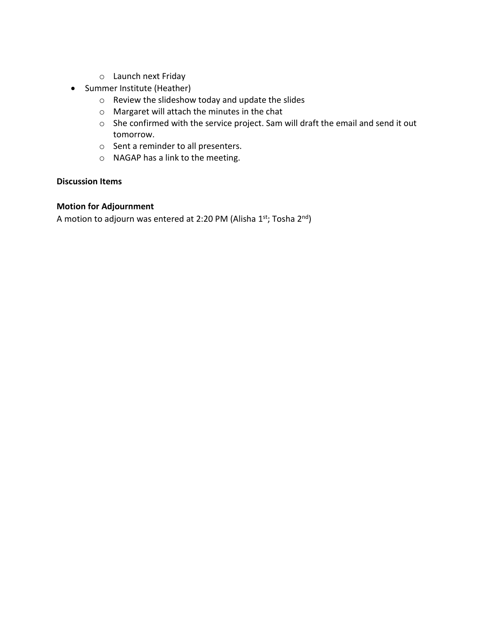- o Launch next Friday
- Summer Institute (Heather)
	- o Review the slideshow today and update the slides
	- o Margaret will attach the minutes in the chat
	- o She confirmed with the service project. Sam will draft the email and send it out tomorrow.
	- o Sent a reminder to all presenters.
	- o NAGAP has a link to the meeting.

#### **Discussion Items**

#### **Motion for Adjournment**

A motion to adjourn was entered at 2:20 PM (Alisha 1st; Tosha 2<sup>nd</sup>)